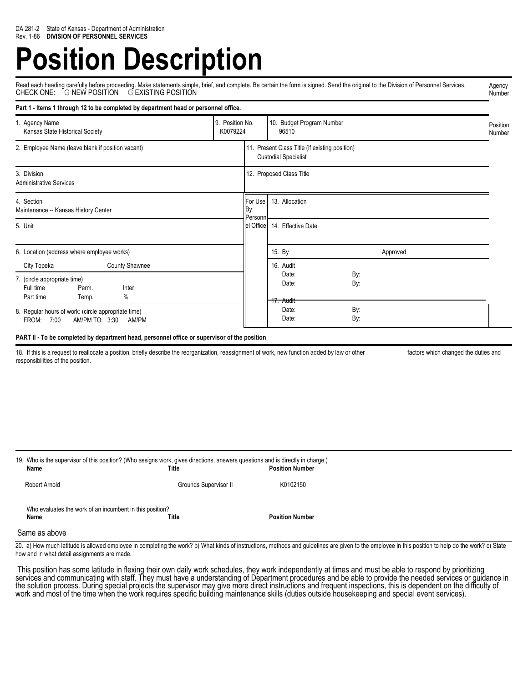# **Position Description**

Read each heading carefully before proceeding. Make statements simple, brief, and complete. Be certain the form is signed. Send the original to the Division of Personnel Services.<br>CHECK ONE: G NEW POSITION G EXISTING POS Agency Number

| Part 1 - Items 1 through 12 to be completed by department head or personnel office.                                             |  |                                    |                                                                               |                    |  |
|---------------------------------------------------------------------------------------------------------------------------------|--|------------------------------------|-------------------------------------------------------------------------------|--------------------|--|
| 9. Position No.<br>1. Agency Name<br>K0079224<br>Kansas State Historical Society                                                |  | 10. Budget Program Number<br>96510 |                                                                               | Position<br>Number |  |
| 2. Employee Name (leave blank if position vacant)                                                                               |  |                                    | 11. Present Class Title (if existing position)<br><b>Custodial Specialist</b> |                    |  |
| 3. Division<br><b>Administrative Services</b>                                                                                   |  |                                    | 12. Proposed Class Title                                                      |                    |  |
| 4. Section<br>Maintenance -- Kansas History Center                                                                              |  | For Use<br>Вy<br>Personn           | 13. Allocation                                                                |                    |  |
| 5. Unit                                                                                                                         |  | el Office                          | 14. Effective Date                                                            |                    |  |
| 6. Location (address where employee works)                                                                                      |  |                                    | 15. By                                                                        | Approved           |  |
| <b>County Shawnee</b><br>City Topeka<br>7. (circle appropriate time)<br>Full time<br>Perm.<br>Inter.<br>%<br>Part time<br>Temp. |  |                                    | 16. Audit<br>Date:<br>Date:<br>17. Audit                                      | By:<br>By:         |  |
| 8. Regular hours of work: (circle appropriate time)<br>7:00<br>AM/PM TO: 3:30<br>AM/PM<br>FROM:                                 |  |                                    | Date:<br>Date:                                                                | By:<br>By:         |  |

## **PART II - To be completed by department head, personnel office or supervisor of the position**

18. If this is a request to reallocate a position, briefly describe the reorganization, reassignment of work, new function added by law or other factors which changed the duties and responsibilities of the position.

| 19. Who is the supervisor of this position? (Who assigns work, gives directions, answers questions and is directly in charge.)<br>Name | Title                 | <b>Position Number</b> |
|----------------------------------------------------------------------------------------------------------------------------------------|-----------------------|------------------------|
| <b>Robert Arnold</b>                                                                                                                   | Grounds Supervisor II | K0102150               |
| Who evaluates the work of an incumbent in this position?<br>Name                                                                       | Title                 | <b>Position Number</b> |
| Same as above                                                                                                                          |                       |                        |

20. a) How much latitude is allowed employee in completing the work? b) What kinds of instructions, methods and guidelines are given to the employee in this position to help do the work? c) State how and in what detail assignments are made.

This position has some latitude in flexing their own daily work schedules, they work independently at times and must be able to respond by prioritizing services and communicating with staff. They must have a understanding of Department procedures and be able to provide the needed services or guidance in the solution process. During special projects the supervisor may give more direct instructions and frequent inspections, this is dependent on the difficulty of work and most of the time when the work requires specific building maintenance skills (duties outside housekeeping and special event services).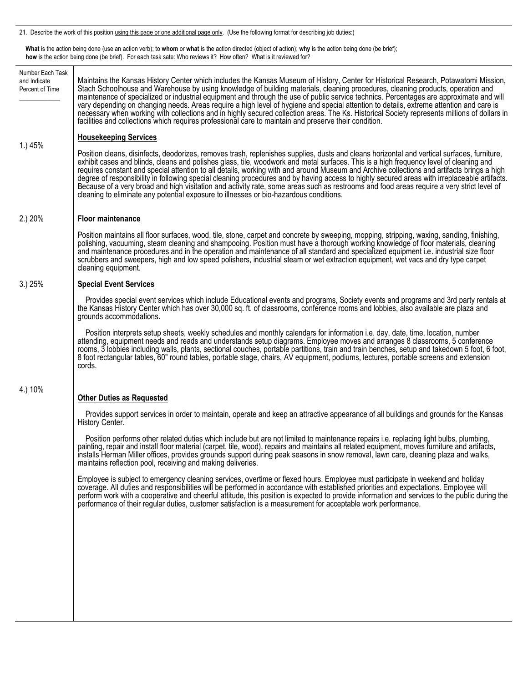21. Describe the work of this position using this page or one additional page only. (Use the following format for describing job duties:)

 **What** is the action being done (use an action verb); to **whom** or **what** is the action directed (object of action); **why** is the action being done (be brief); **how** is the action being done (be brief). For each task sate: Who reviews it? How often? What is it reviewed for?

| Number Each Task<br>and Indicate<br>Percent of Time | Maintains the Kansas History Center which includes the Kansas Museum of History, Center for Historical Research, Potawatomi Mission,<br>Stach Schoolhouse and Warehouse by using knowledge of building materials, cleaning procedures, cleaning products, operation and<br>maintenance of specialized or industrial equipment and through the use of public service technics. Percentages are approximate and will<br>vary depending on changing needs. Areas require a high level of hygiene and special attention to details, extreme attention and care is<br>necessary when working with collections and in highly secured collection areas. The Ks. Historical Society represents millions of dollars in<br>facilities and collections which requires professional care to maintain and preserve their condition.     |
|-----------------------------------------------------|----------------------------------------------------------------------------------------------------------------------------------------------------------------------------------------------------------------------------------------------------------------------------------------------------------------------------------------------------------------------------------------------------------------------------------------------------------------------------------------------------------------------------------------------------------------------------------------------------------------------------------------------------------------------------------------------------------------------------------------------------------------------------------------------------------------------------|
|                                                     | <b>Housekeeping Services</b>                                                                                                                                                                                                                                                                                                                                                                                                                                                                                                                                                                                                                                                                                                                                                                                               |
| 1.) 45%                                             | Position cleans, disinfects, deodorizes, removes trash, replenishes supplies, dusts and cleans horizontal and vertical surfaces, furniture,<br>exhibit cases and blinds, cleans and polishes glass, tile, woodwork and metal surfaces. This is a high frequency level of cleaning and<br>requires constant and special attention to all details, working with and around Museum and Archive collections and artifacts brings a high<br>degree of responsibility in following special cleaning procedures and by having access to highly secured areas with irreplaceable artifacts.<br>Because of a very broad and high visitation and activity rate, some areas such as restrooms and food areas require a very strict level of<br>cleaning to eliminate any potential exposure to illnesses or bio-hazardous conditions. |
| 2.) 20%                                             | Floor maintenance                                                                                                                                                                                                                                                                                                                                                                                                                                                                                                                                                                                                                                                                                                                                                                                                          |
|                                                     | Position maintains all floor surfaces, wood, tile, stone, carpet and concrete by sweeping, mopping, stripping, waxing, sanding, finishing,<br>polishing, vacuuming, steam cleaning and shampooing. Position must have a thorough working knowledge of floor materials, cleaning<br>and maintenance procedures and in the operation and maintenance of all standard and specialized equipment i.e. industrial size floor<br>scrubbers and sweepers, high and low speed polishers, industrial steam or wet extraction equipment, wet vacs and dry type carpet<br>cleaning equipment.                                                                                                                                                                                                                                         |
| 3.) 25%                                             | <b>Special Event Services</b>                                                                                                                                                                                                                                                                                                                                                                                                                                                                                                                                                                                                                                                                                                                                                                                              |
|                                                     | Provides special event services which include Educational events and programs, Society events and programs and 3rd party rentals at<br>the Kansas History Center which has over 30,000 sq. ft. of classrooms, conference rooms and lobbies, also available are plaza and<br>grounds accommodations.                                                                                                                                                                                                                                                                                                                                                                                                                                                                                                                        |
|                                                     | Position interprets setup sheets, weekly schedules and monthly calendars for information i.e. day, date, time, location, number<br>attending, equipment needs and reads and understands setup diagrams. Employee moves and arranges 8 classrooms, 5 conference<br>rooms, 3 lobbies including walls, plants, sectional couches, portable partitions, train and train benches, setup and takedown 5 foot, 6 foot,<br>8 foot rectangular tables, 60" round tables, portable stage, chairs, AV equipment, podiums, lectures, portable screens and extension<br>cords.                                                                                                                                                                                                                                                          |
| 4.) 10%                                             |                                                                                                                                                                                                                                                                                                                                                                                                                                                                                                                                                                                                                                                                                                                                                                                                                            |
|                                                     | <b>Other Duties as Requested</b>                                                                                                                                                                                                                                                                                                                                                                                                                                                                                                                                                                                                                                                                                                                                                                                           |
|                                                     | Provides support services in order to maintain, operate and keep an attractive appearance of all buildings and grounds for the Kansas<br>History Center.                                                                                                                                                                                                                                                                                                                                                                                                                                                                                                                                                                                                                                                                   |
|                                                     | Position performs other related duties which include but are not limited to maintenance repairs i.e. replacing light bulbs, plumbing,<br>painting, repair and install floor material (carpet, tile, wood), repairs and maintains all related equipment, moves furniture and artifacts,<br>installs Herman Miller offices, provides grounds support during peak seasons in<br>maintains reflection pool, receiving and making deliveries.                                                                                                                                                                                                                                                                                                                                                                                   |
|                                                     | Employee is subject to emergency cleaning services, overtime or flexed hours. Employee must participate in weekend and holiday<br>coverage. All duties and responsibilities will be performed in accordance with established priorities and expectations. Employee will<br>perform work with a cooperative and cheerful attitude, this position is expected to provide information and services to the public during the<br>performance of their reqular duties, customer satisfaction is a measurement for acceptable work performance.                                                                                                                                                                                                                                                                                   |
|                                                     |                                                                                                                                                                                                                                                                                                                                                                                                                                                                                                                                                                                                                                                                                                                                                                                                                            |
|                                                     |                                                                                                                                                                                                                                                                                                                                                                                                                                                                                                                                                                                                                                                                                                                                                                                                                            |
|                                                     |                                                                                                                                                                                                                                                                                                                                                                                                                                                                                                                                                                                                                                                                                                                                                                                                                            |
|                                                     |                                                                                                                                                                                                                                                                                                                                                                                                                                                                                                                                                                                                                                                                                                                                                                                                                            |
|                                                     |                                                                                                                                                                                                                                                                                                                                                                                                                                                                                                                                                                                                                                                                                                                                                                                                                            |
|                                                     |                                                                                                                                                                                                                                                                                                                                                                                                                                                                                                                                                                                                                                                                                                                                                                                                                            |
|                                                     |                                                                                                                                                                                                                                                                                                                                                                                                                                                                                                                                                                                                                                                                                                                                                                                                                            |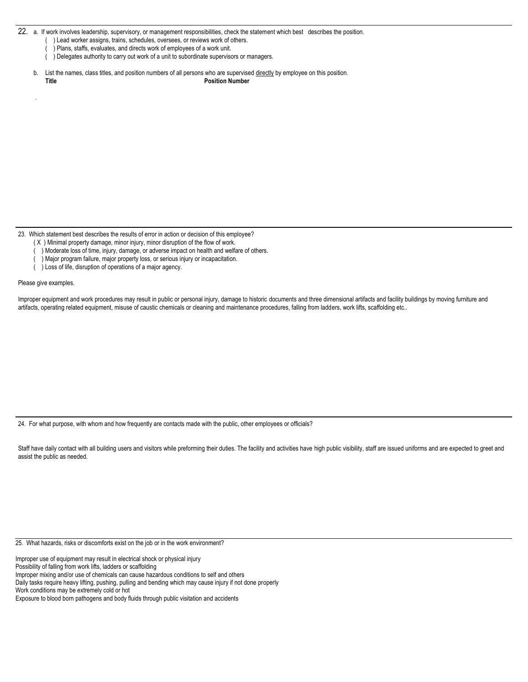22. a. If work involves leadership, supervisory, or management responsibilities, check the statement which best describes the position.

- ) Lead worker assigns, trains, schedules, oversees, or reviews work of others.
- ( ) Plans, staffs, evaluates, and directs work of employees of a work unit.
- ( ) Delegates authority to carry out work of a unit to subordinate supervisors or managers.
- b. List the names, class titles, and position numbers of all persons who are supervised directly by employee on this position. **Title Position Number**

23. Which statement best describes the results of error in action or decision of this employee?

- ( X ) Minimal property damage, minor injury, minor disruption of the flow of work.
- ) Moderate loss of time, injury, damage, or adverse impact on health and welfare of others.
- ) Major program failure, major property loss, or serious injury or incapacitation.
- ( ) Loss of life, disruption of operations of a major agency.

Please give examples.

.

Improper equipment and work procedures may result in public or personal injury, damage to historic documents and three dimensional artifacts and facility buildings by moving furniture and artifacts, operating related equipment, misuse of caustic chemicals or cleaning and maintenance procedures, falling from ladders, work lifts, scaffolding etc..

24. For what purpose, with whom and how frequently are contacts made with the public, other employees or officials?

Staff have daily contact with all building users and visitors while preforming their duties. The facility and activities have high public visibility, staff are issued uniforms and are expected to greet and assist the public as needed.

25. What hazards, risks or discomforts exist on the job or in the work environment?

Improper use of equipment may result in electrical shock or physical injury

Possibility of falling from work lifts, ladders or scaffolding

Improper mixing and/or use of chemicals can cause hazardous conditions to self and others

Daily tasks require heavy lifting, pushing, pulling and bending which may cause injury if not done properly

Work conditions may be extremely cold or hot

Exposure to blood born pathogens and body fluids through public visitation and accidents